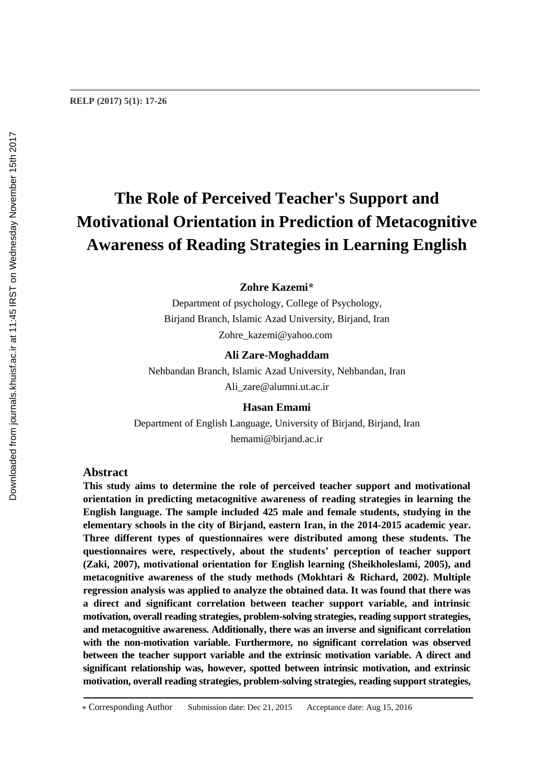# **The Role of Perceived Teacher's Support and Motivational Orientation in Prediction of Metacognitive Awareness of Reading Strategies in Learning English**

**Zohre Kazemi\***

Department of psychology, College of Psychology, Birjand Branch, Islamic Azad University, Birjand, Iran Zohre\_kazemi@yahoo.com

#### **Ali Zare-Moghaddam**

Nehbandan Branch, Islamic Azad University, Nehbandan, Iran Ali\_zare@alumni.ut.ac.ir

**Hasan Emami** Department of English Language, University of Birjand, Birjand, Iran hemami@birjand.ac.ir

# **Abstract**

**RELP (2017) 5(1): 17-26**

**This study aims to determine the role of perceived teacher support and motivational orientation in predicting metacognitive awareness of reading strategies in learning the English language. The sample included 425 male and female students, studying in the elementary schools in the city of Birjand, eastern Iran, in the 2014-2015 academic year. Three different types of questionnaires were distributed among these students. The questionnaires were, respectively, about the students' perception of teacher support (Zaki, 2007), motivational orientation for English learning (Sheikholeslami, 2005), and metacognitive awareness of the study methods (Mokhtari & Richard, 2002). Multiple regression analysis was applied to analyze the obtained data. It was found that there was a direct and significant correlation between teacher support variable, and intrinsic motivation, overall reading strategies, problem-solving strategies, reading support strategies, and metacognitive awareness. Additionally, there was an inverse and significant correlation with the non-motivation variable. Furthermore, no significant correlation was observed between the teacher support variable and the extrinsic motivation variable. A direct and significant relationship was, however, spotted between intrinsic motivation, and extrinsic motivation, overall reading strategies, problem-solving strategies, reading support strategies,**

<sup>\*</sup> Corresponding Author Submission date: Dec 21, 2015 Acceptance date: Aug 15, 2016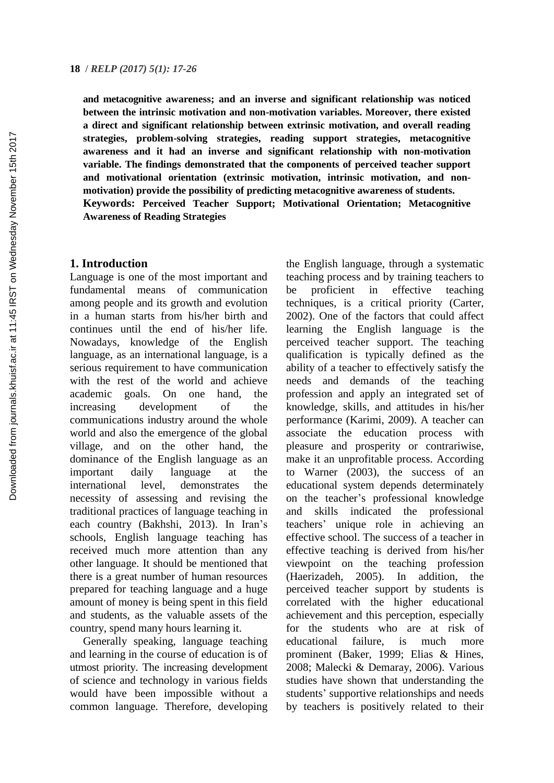**and metacognitive awareness; and an inverse and significant relationship was noticed between the intrinsic motivation and non-motivation variables. Moreover, there existed a direct and significant relationship between extrinsic motivation, and overall reading strategies, problem-solving strategies, reading support strategies, metacognitive awareness and it had an inverse and significant relationship with non-motivation variable. The findings demonstrated that the components of perceived teacher support and motivational orientation (extrinsic motivation, intrinsic motivation, and nonmotivation) provide the possibility of predicting metacognitive awareness of students. Keywords: Perceived Teacher Support; Motivational Orientation; Metacognitive Awareness of Reading Strategies**

## **1. Introduction**

Language is one of the most important and fundamental means of communication among people and its growth and evolution in a human starts from his/her birth and continues until the end of his/her life. Nowadays, knowledge of the English language, as an international language, is a serious requirement to have communication with the rest of the world and achieve academic goals. On one hand, the increasing development of the communications industry around the whole world and also the emergence of the global village, and on the other hand, the dominance of the English language as an important daily language at the international level, demonstrates the necessity of assessing and revising the traditional practices of language teaching in each country (Bakhshi, 2013). In Iran's schools, English language teaching has received much more attention than any other language. It should be mentioned that there is a great number of human resources prepared for teaching language and a huge amount of money is being spent in this field and students, as the valuable assets of the country, spend many hours learning it.

Generally speaking, language teaching and learning in the course of education is of utmost priority. The increasing development of science and technology in various fields would have been impossible without a common language. Therefore, developing

the English language, through a systematic teaching process and by training teachers to be proficient in effective teaching techniques, is a critical priority (Carter, 2002). One of the factors that could affect learning the English language is the perceived teacher support. The teaching qualification is typically defined as the ability of a teacher to effectively satisfy the needs and demands of the teaching profession and apply an integrated set of knowledge, skills, and attitudes in his/her performance (Karimi, 2009). A teacher can associate the education process with pleasure and prosperity or contrariwise, make it an unprofitable process. According to Warner (2003), the success of an educational system depends determinately on the teacher's professional knowledge and skills indicated the professional teachers' unique role in achieving an effective school. The success of a teacher in effective teaching is derived from his/her viewpoint on the teaching profession (Haerizadeh, 2005). In addition, the perceived teacher support by students is correlated with the higher educational achievement and this perception, especially for the students who are at risk of educational failure, is much more prominent (Baker, 1999; Elias & Hines, 2008; Malecki & Demaray, 2006). Various studies have shown that understanding the students' supportive relationships and needs by teachers is positively related to their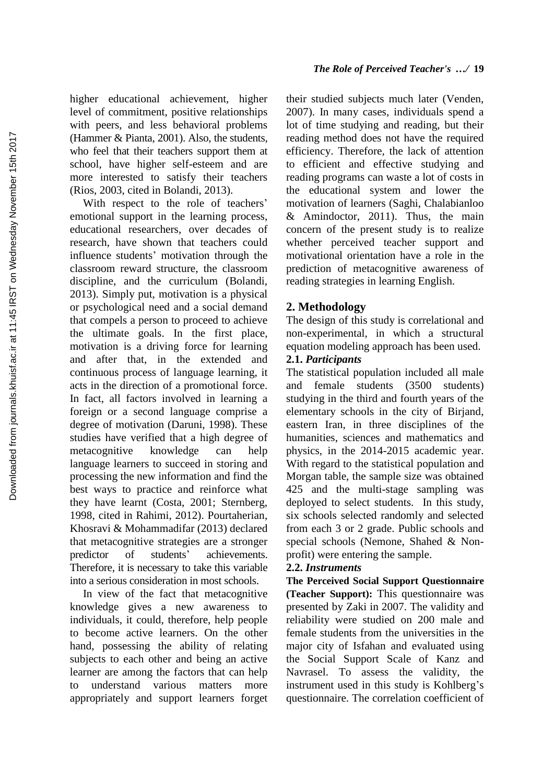higher educational achievement, higher level of commitment, positive relationships with peers, and less behavioral problems (Hammer & Pianta, 2001). Also, the students, who feel that their teachers support them at school, have higher self-esteem and are more interested to satisfy their teachers (Rios, 2003, cited in Bolandi, 2013).

With respect to the role of teachers' emotional support in the learning process, educational researchers, over decades of research, have shown that teachers could influence students' motivation through the classroom reward structure, the classroom discipline, and the curriculum (Bolandi, 2013). Simply put, motivation is a physical or psychological need and a social demand that compels a person to proceed to achieve the ultimate goals. In the first place, motivation is a driving force for learning and after that, in the extended and continuous process of language learning, it acts in the direction of a promotional force. In fact, all factors involved in learning a foreign or a second language comprise a degree of motivation (Daruni, 1998). These studies have verified that a high degree of metacognitive knowledge can help language learners to succeed in storing and processing the new information and find the best ways to practice and reinforce what they have learnt (Costa, 2001; Sternberg, 1998, cited in Rahimi, 2012). Pourtaherian, Khosravi & Mohammadifar (2013) declared that metacognitive strategies are a stronger predictor of students' achievements. Therefore, it is necessary to take this variable into a serious consideration in most schools.

In view of the fact that metacognitive knowledge gives a new awareness to individuals, it could, therefore, help people to become active learners. On the other hand, possessing the ability of relating subjects to each other and being an active learner are among the factors that can help to understand various matters more appropriately and support learners forget

their studied subjects much later (Venden, 2007). In many cases, individuals spend a lot of time studying and reading, but their reading method does not have the required efficiency. Therefore, the lack of attention to efficient and effective studying and reading programs can waste a lot of costs in the educational system and lower the motivation of learners (Saghi, Chalabianloo & Amindoctor, 2011). Thus, the main concern of the present study is to realize whether perceived teacher support and motivational orientation have a role in the prediction of metacognitive awareness of reading strategies in learning English.

# **2. Methodology**

The design of this study is correlational and non-experimental, in which a structural equation modeling approach has been used.

# **2.1.** *Participants*

The statistical population included all male and female students (3500 students) studying in the third and fourth years of the elementary schools in the city of Birjand, eastern Iran, in three disciplines of the humanities, sciences and mathematics and physics, in the 2014-2015 academic year. With regard to the statistical population and Morgan table, the sample size was obtained 425 and the multi-stage sampling was deployed to select students. In this study, six schools selected randomly and selected from each 3 or 2 grade. Public schools and special schools (Nemone, Shahed & Nonprofit) were entering the sample.

## **2.2.** *Instruments*

**The Perceived Social Support Questionnaire (Teacher Support):** This questionnaire was presented by Zaki in 2007. The validity and reliability were studied on 200 male and female students from the universities in the major city of Isfahan and evaluated using the Social Support Scale of Kanz and Navrasel. To assess the validity, the instrument used in this study is Kohlberg's questionnaire. The correlation coefficient of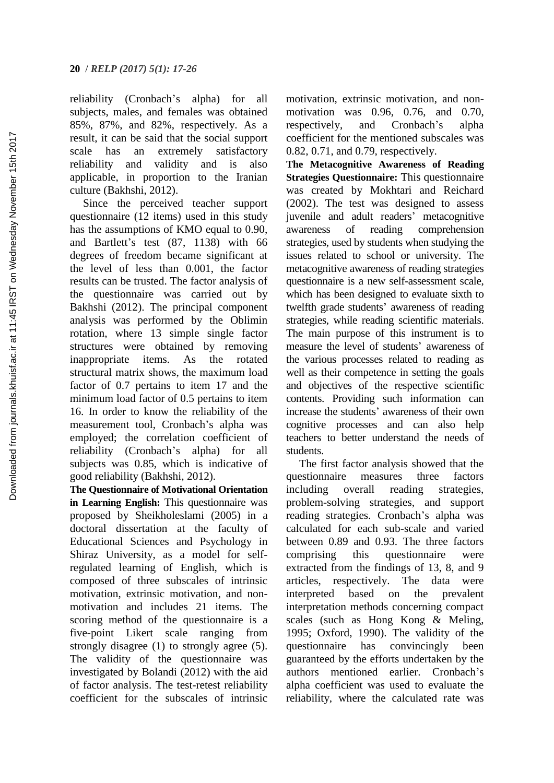reliability (Cronbach's alpha) for all subjects, males, and females was obtained 85%, 87%, and 82%, respectively. As a result, it can be said that the social support scale has an extremely satisfactory reliability and validity and is also applicable, in proportion to the Iranian culture (Bakhshi, 2012).

Since the perceived teacher support questionnaire (12 items) used in this study has the assumptions of KMO equal to 0.90, and Bartlett's test (87, 1138) with 66 degrees of freedom became significant at the level of less than 0.001, the factor results can be trusted. The factor analysis of the questionnaire was carried out by Bakhshi (2012). The principal component analysis was performed by the Oblimin rotation, where 13 simple single factor structures were obtained by removing inappropriate items. As the rotated structural matrix shows, the maximum load factor of 0.7 pertains to item 17 and the minimum load factor of 0.5 pertains to item 16. In order to know the reliability of the measurement tool, Cronbach's alpha was employed; the correlation coefficient of reliability (Cronbach's alpha) for all subjects was 0.85, which is indicative of good reliability (Bakhshi, 2012).

**The Questionnaire of Motivational Orientation in Learning English:** This questionnaire was proposed by Sheikholeslami (2005) in a doctoral dissertation at the faculty of Educational Sciences and Psychology in Shiraz University, as a model for selfregulated learning of English, which is composed of three subscales of intrinsic motivation, extrinsic motivation, and nonmotivation and includes 21 items. The scoring method of the questionnaire is a five-point Likert scale ranging from strongly disagree (1) to strongly agree (5). The validity of the questionnaire was investigated by Bolandi (2012) with the aid of factor analysis. The test-retest reliability coefficient for the subscales of intrinsic

motivation, extrinsic motivation, and nonmotivation was 0.96, 0.76, and 0.70, respectively, and Cronbach's alpha coefficient for the mentioned subscales was 0.82, 0.71, and 0.79, respectively.

**The Metacognitive Awareness of Reading Strategies Questionnaire:** This questionnaire was created by Mokhtari and Reichard (2002). The test was designed to assess juvenile and adult readers' metacognitive awareness of reading comprehension strategies, used by students when studying the issues related to school or university. The metacognitive awareness of reading strategies questionnaire is a new self-assessment scale, which has been designed to evaluate sixth to twelfth grade students' awareness of reading strategies, while reading scientific materials. The main purpose of this instrument is to measure the level of students' awareness of the various processes related to reading as well as their competence in setting the goals and objectives of the respective scientific contents. Providing such information can increase the students' awareness of their own cognitive processes and can also help teachers to better understand the needs of students.

The first factor analysis showed that the questionnaire measures three factors including overall reading strategies, problem-solving strategies, and support reading strategies. Cronbach's alpha was calculated for each sub-scale and varied between 0.89 and 0.93. The three factors comprising this questionnaire were extracted from the findings of 13, 8, and 9 articles, respectively. The data were interpreted based on the prevalent interpretation methods concerning compact scales (such as Hong Kong & Meling, 1995; Oxford, 1990). The validity of the questionnaire has convincingly been guaranteed by the efforts undertaken by the authors mentioned earlier. Cronbach's alpha coefficient was used to evaluate the reliability, where the calculated rate was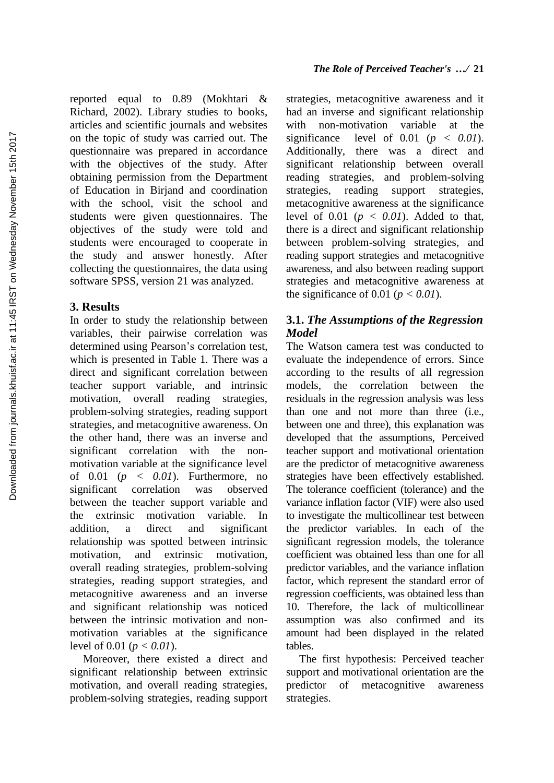reported equal to 0.89 (Mokhtari & Richard, 2002). Library studies to books, articles and scientific journals and websites on the topic of study was carried out. The questionnaire was prepared in accordance with the objectives of the study. After obtaining permission from the Department of Education in Birjand and coordination with the school, visit the school and students were given questionnaires. The objectives of the study were told and students were encouraged to cooperate in the study and answer honestly. After collecting the questionnaires, the data using software SPSS, version 21 was analyzed.

# **3. Results**

In order to study the relationship between variables, their pairwise correlation was determined using Pearson's correlation test, which is presented in Table 1. There was a direct and significant correlation between teacher support variable, and intrinsic motivation, overall reading strategies, problem-solving strategies, reading support strategies, and metacognitive awareness. On the other hand, there was an inverse and significant correlation with the nonmotivation variable at the significance level of 0.01 (*p < 0.01*). Furthermore, no significant correlation was observed between the teacher support variable and the extrinsic motivation variable. In addition, a direct and significant relationship was spotted between intrinsic motivation, and extrinsic motivation, overall reading strategies, problem-solving strategies, reading support strategies, and metacognitive awareness and an inverse and significant relationship was noticed between the intrinsic motivation and nonmotivation variables at the significance level of 0.01 (*p < 0.01*).

Moreover, there existed a direct and significant relationship between extrinsic motivation, and overall reading strategies, problem-solving strategies, reading support strategies, metacognitive awareness and it had an inverse and significant relationship with non-motivation variable at the significance level of  $0.01$  ( $p < 0.01$ ). Additionally, there was a direct and significant relationship between overall reading strategies, and problem-solving<br>strategies, reading support strategies, strategies, reading support strategies, metacognitive awareness at the significance level of  $0.01$  ( $p < 0.01$ ). Added to that, there is a direct and significant relationship between problem-solving strategies, and reading support strategies and metacognitive awareness, and also between reading support strategies and metacognitive awareness at the significance of 0.01 ( $p < 0.01$ ).

# **3.1.** *The Assumptions of the Regression Model*

The Watson camera test was conducted to evaluate the independence of errors. Since according to the results of all regression models, the correlation between the residuals in the regression analysis was less than one and not more than three (i.e., between one and three), this explanation was developed that the assumptions, Perceived teacher support and motivational orientation are the predictor of metacognitive awareness strategies have been effectively established. The tolerance coefficient (tolerance) and the variance inflation factor (VIF) were also used to investigate the multicollinear test between the predictor variables. In each of the significant regression models, the tolerance coefficient was obtained less than one for all predictor variables, and the variance inflation factor, which represent the standard error of regression coefficients, was obtained less than 10. Therefore, the lack of multicollinear assumption was also confirmed and its amount had been displayed in the related tables.

The first hypothesis: Perceived teacher support and motivational orientation are the predictor of metacognitive awareness strategies.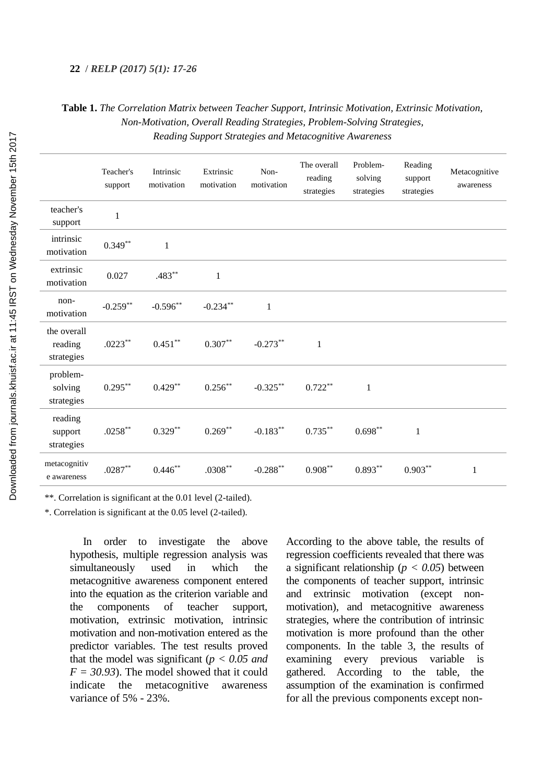#### **22** / *RELP (2017) 5(1): 17-26*

# **Table 1.** *The Correlation Matrix between Teacher Support, Intrinsic Motivation, Extrinsic Motivation, Non-Motivation, Overall Reading Strategies, Problem-Solving Strategies, Reading Support Strategies and Metacognitive Awareness*

|                                      | Teacher's<br>support | Intrinsic<br>motivation | Extrinsic<br>motivation | Non-<br>motivation | The overall<br>reading<br>strategies | Problem-<br>solving<br>strategies | Reading<br>support<br>strategies | Metacognitive<br>awareness |
|--------------------------------------|----------------------|-------------------------|-------------------------|--------------------|--------------------------------------|-----------------------------------|----------------------------------|----------------------------|
| teacher's<br>support                 | $\,1\,$              |                         |                         |                    |                                      |                                   |                                  |                            |
| intrinsic<br>motivation              | $0.349**$            | $\mathbf{1}$            |                         |                    |                                      |                                   |                                  |                            |
| extrinsic<br>motivation              | 0.027                | $.483**$                | $\mathbf{1}$            |                    |                                      |                                   |                                  |                            |
| non-<br>motivation                   | $-0.259**$           | $-0.596**$              | $-0.234***$             | $\mathbf{1}$       |                                      |                                   |                                  |                            |
| the overall<br>reading<br>strategies | $.0223***$           | $0.451***$              | $0.307**$               | $-0.273**$         | $\mathbf{1}$                         |                                   |                                  |                            |
| problem-<br>solving<br>strategies    | $0.295***$           | $0.429**$               | $0.256***$              | $-0.325**$         | $0.722**$                            | $\mathbf{1}$                      |                                  |                            |
| reading<br>support<br>strategies     | $.0258***$           | $0.329**$               | $0.269**$               | $-0.183**$         | $0.735***$                           | $0.698**$                         | 1                                |                            |
| metacognitiv<br>e awareness          | $.0287^{\ast\ast}$   | $0.446**$               | $.0308**$               | $-0.288***$        | $0.908***$                           | $0.893***$                        | $0.903***$                       | $\mathbf{1}$               |

\*\*. Correlation is significant at the 0.01 level (2-tailed).

\*. Correlation is significant at the 0.05 level (2-tailed).

In order to investigate the above hypothesis, multiple regression analysis was simultaneously used in which the metacognitive awareness component entered into the equation as the criterion variable and the components of teacher support, motivation, extrinsic motivation, intrinsic motivation and non-motivation entered as the predictor variables. The test results proved that the model was significant (*p < 0.05 and*   $F = 30.93$ . The model showed that it could indicate the metacognitive awareness variance of 5% - 23%.

According to the above table, the results of regression coefficients revealed that there was a significant relationship (*p < 0.05*) between the components of teacher support, intrinsic and extrinsic motivation (except nonmotivation), and metacognitive awareness strategies, where the contribution of intrinsic motivation is more profound than the other components. In the table 3, the results of examining every previous variable is gathered. According to the table, the assumption of the examination is confirmed for all the previous components except non-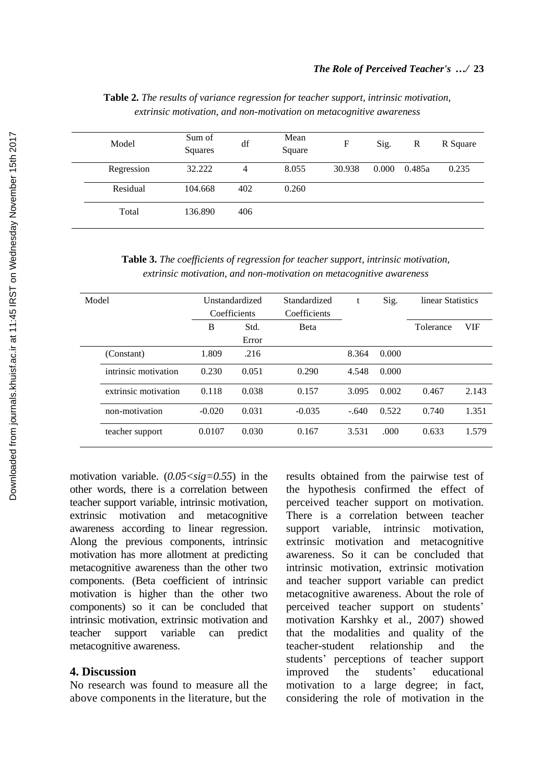| Model      | Sum of<br>Squares | df  | Mean<br>Square | F      | Sig.  | R      | R Square |
|------------|-------------------|-----|----------------|--------|-------|--------|----------|
| Regression | 32.222            | 4   | 8.055          | 30.938 | 0.000 | 0.485a | 0.235    |
| Residual   | 104.668           | 402 | 0.260          |        |       |        |          |
| Total      | 136.890           | 406 |                |        |       |        |          |

**Table 2.** *The results of variance regression for teacher support, intrinsic motivation, extrinsic motivation, and non-motivation on metacognitive awareness*

**Table 3.** *The coefficients of regression for teacher support, intrinsic motivation, extrinsic motivation, and non-motivation on metacognitive awareness*

| Model |                      | Unstandardized<br>Coefficients |               | Standardized<br>Coefficients | t       | Sig.  | linear Statistics |            |
|-------|----------------------|--------------------------------|---------------|------------------------------|---------|-------|-------------------|------------|
|       |                      | B                              | Std.<br>Error | <b>B</b> eta                 |         |       | Tolerance         | <b>VIF</b> |
|       | (Constant)           | 1.809                          | .216          |                              | 8.364   | 0.000 |                   |            |
|       | intrinsic motivation | 0.230                          | 0.051         | 0.290                        | 4.548   | 0.000 |                   |            |
|       | extrinsic motivation | 0.118                          | 0.038         | 0.157                        | 3.095   | 0.002 | 0.467             | 2.143      |
|       | non-motivation       | $-0.020$                       | 0.031         | $-0.035$                     | $-.640$ | 0.522 | 0.740             | 1.351      |
|       | teacher support      | 0.0107                         | 0.030         | 0.167                        | 3.531   | .000  | 0.633             | 1.579      |

motivation variable.  $(0.05 < sig=0.55)$  in the other words, there is a correlation between teacher support variable, intrinsic motivation, extrinsic motivation and metacognitive awareness according to linear regression. Along the previous components, intrinsic motivation has more allotment at predicting metacognitive awareness than the other two components. (Beta coefficient of intrinsic motivation is higher than the other two components) so it can be concluded that intrinsic motivation, extrinsic motivation and teacher support variable can predict metacognitive awareness.

### **4. Discussion**

No research was found to measure all the above components in the literature, but the

results obtained from the pairwise test of the hypothesis confirmed the effect of perceived teacher support on motivation. There is a correlation between teacher support variable, intrinsic motivation, extrinsic motivation and metacognitive awareness. So it can be concluded that intrinsic motivation, extrinsic motivation and teacher support variable can predict metacognitive awareness. About the role of perceived teacher support on students' motivation Karshky et al., 2007) showed that the modalities and quality of the teacher-student relationship and the students' perceptions of teacher support improved the students' educational motivation to a large degree; in fact, considering the role of motivation in the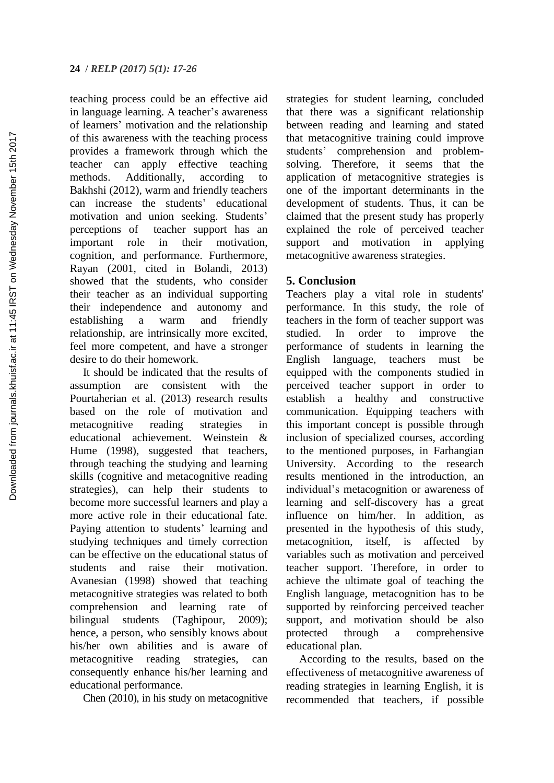teaching process could be an effective aid in language learning. A teacher's awareness of learners' motivation and the relationship of this awareness with the teaching process provides a framework through which the teacher can apply effective teaching methods. Additionally, according to Bakhshi (2012), warm and friendly teachers can increase the students' educational motivation and union seeking. Students' perceptions of teacher support has an important role in their motivation, cognition, and performance. Furthermore, Rayan (2001, cited in Bolandi, 2013) showed that the students, who consider their teacher as an individual supporting their independence and autonomy and establishing a warm and friendly relationship, are intrinsically more excited, feel more competent, and have a stronger desire to do their homework.

It should be indicated that the results of assumption are consistent with the Pourtaherian et al. (2013) research results based on the role of motivation and metacognitive reading strategies in educational achievement. Weinstein & Hume (1998), suggested that teachers, through teaching the studying and learning skills (cognitive and metacognitive reading strategies), can help their students to become more successful learners and play a more active role in their educational fate. Paying attention to students' learning and studying techniques and timely correction can be effective on the educational status of students and raise their motivation. Avanesian (1998) showed that teaching metacognitive strategies was related to both comprehension and learning rate of bilingual students (Taghipour, 2009); hence, a person, who sensibly knows about his/her own abilities and is aware of metacognitive reading strategies, can consequently enhance his/her learning and educational performance.

Chen (2010), in his study on metacognitive

strategies for student learning, concluded that there was a significant relationship between reading and learning and stated that metacognitive training could improve students' comprehension and problemsolving. Therefore, it seems that the application of metacognitive strategies is one of the important determinants in the development of students. Thus, it can be claimed that the present study has properly explained the role of perceived teacher support and motivation in applying metacognitive awareness strategies.

# **5. Conclusion**

Teachers play a vital role in students' performance. In this study, the role of teachers in the form of teacher support was studied. In order to improve the performance of students in learning the English language, teachers must be equipped with the components studied in perceived teacher support in order to establish a healthy and constructive communication. Equipping teachers with this important concept is possible through inclusion of specialized courses, according to the mentioned purposes, in Farhangian University. According to the research results mentioned in the introduction, an individual's metacognition or awareness of learning and self-discovery has a great influence on him/her. In addition, as presented in the hypothesis of this study, metacognition, itself, is affected by variables such as motivation and perceived teacher support. Therefore, in order to achieve the ultimate goal of teaching the English language, metacognition has to be supported by reinforcing perceived teacher support, and motivation should be also protected through a comprehensive educational plan.

According to the results, based on the effectiveness of metacognitive awareness of reading strategies in learning English, it is recommended that teachers, if possible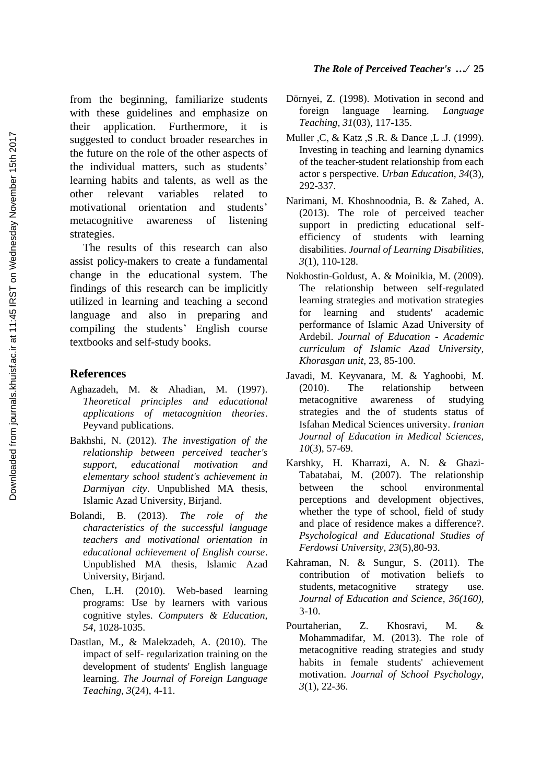from the beginning, familiarize students with these guidelines and emphasize on their application. Furthermore, it is suggested to conduct broader researches in the future on the role of the other aspects of the individual matters, such as students' learning habits and talents, as well as the other relevant variables related to motivational orientation and students' metacognitive awareness of listening strategies.

The results of this research can also assist policy-makers to create a fundamental change in the educational system. The findings of this research can be implicitly utilized in learning and teaching a second language and also in preparing and compiling the students' English course textbooks and self-study books.

# **References**

- Aghazadeh, M. & Ahadian, M. (1997). *Theoretical principles and educational applications of metacognition theories*. Peyvand publications.
- Bakhshi, N. (2012). *The investigation of the relationship between perceived teacher's support, educational motivation and elementary school student's achievement in Darmiyan city*. Unpublished MA thesis, Islamic Azad University, Birjand.
- Bolandi, B. (2013). *The role of the characteristics of the successful language teachers and motivational orientation in educational achievement of English course*. Unpublished MA thesis, Islamic Azad University, Birjand.
- Chen, L.H. (2010). Web-based learning programs: Use by learners with various cognitive styles. *Computers & Education, 54,* 1028-1035.
- Dastlan, M., & Malekzadeh, A. (2010). The impact of self- regularization training on the development of students' English language learning. *The Journal of Foreign Language Teaching, 3*(24), 4-11.

## *The Role of Perceived Teacher's …/* **25**

- Dörnyei, Z. (1998). Motivation in second and foreign language learning. *Language Teaching, 31*(03)*,* 117-135.
- Muller ,C, & Katz ,S .R. & Dance ,L .J. (1999). Investing in teaching and learning dynamics of the teacher-student relationship from each actor s perspective. *Urban Education, 34*(3), 292-337.
- Narimani, M. Khoshnoodnia, B. & Zahed, A. (2013). The role of perceived teacher support in predicting educational selfefficiency of students with learning disabilities. *Journal of Learning Disabilities, 3*(1), 110-128.
- Nokhostin-Goldust, A. & Moinikia, M. (2009). The relationship between self-regulated learning strategies and motivation strategies for learning and students' academic performance of Islamic Azad University of Ardebil. *Journal of Education - Academic curriculum of Islamic Azad University, Khorasgan unit*, 23, 85-100.
- Javadi, M. Keyvanara, M. & Yaghoobi, M. (2010). The relationship between metacognitive awareness of studying strategies and the of students status of Isfahan Medical Sciences university. *Iranian Journal of Education in Medical Sciences, 10*(3), 57-69.
- Karshky, H. Kharrazi, A. N. & Ghazi-Tabatabai, M. (2007). The relationship between the school environmental perceptions and development objectives, whether the type of school, field of study and place of residence makes a difference?. *Psychological and Educational Studies of Ferdowsi University, 23*(5),80-93.
- Kahraman, N. & Sungur, S. (2011). The contribution of motivation beliefs to students, metacognitive strategy use. *Journal of Education and Science, 36(160)*, 3-10.
- Pourtaherian, Z. Khosravi, M. & Mohammadifar, M. (2013). The role of metacognitive reading strategies and study habits in female students' achievement motivation. *Journal of School Psychology, 3*(1), 22-36.